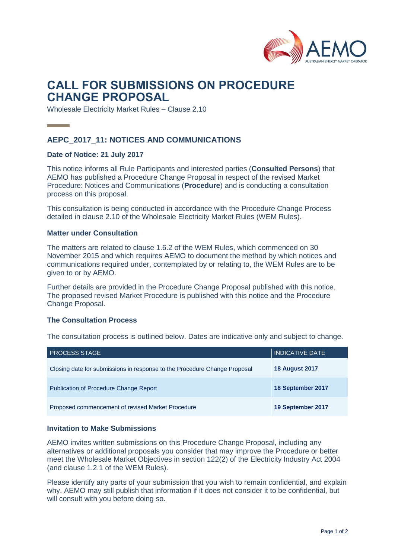

# **CALL FOR SUBMISSIONS ON PROCEDURE CHANGE PROPOSAL**

Wholesale Electricity Market Rules – Clause 2.10

# **AEPC\_2017\_11: NOTICES AND COMMUNICATIONS**

## **Date of Notice: 21 July 2017**

This notice informs all Rule Participants and interested parties (**Consulted Persons**) that AEMO has published a Procedure Change Proposal in respect of the revised Market Procedure: Notices and Communications (**Procedure**) and is conducting a consultation process on this proposal.

This consultation is being conducted in accordance with the Procedure Change Process detailed in clause 2.10 of the Wholesale Electricity Market Rules (WEM Rules).

#### **Matter under Consultation**

The matters are related to clause 1.6.2 of the WEM Rules, which commenced on 30 November 2015 and which requires AEMO to document the method by which notices and communications required under, contemplated by or relating to, the WEM Rules are to be given to or by AEMO.

Further details are provided in the Procedure Change Proposal published with this notice. The proposed revised Market Procedure is published with this notice and the Procedure Change Proposal.

#### **The Consultation Process**

The consultation process is outlined below. Dates are indicative only and subject to change.

| <b>PROCESS STAGE</b>                                                      | <b>INDICATIVE DATE</b> |
|---------------------------------------------------------------------------|------------------------|
| Closing date for submissions in response to the Procedure Change Proposal | <b>18 August 2017</b>  |
| <b>Publication of Procedure Change Report</b>                             | 18 September 2017      |
| Proposed commencement of revised Market Procedure                         | 19 September 2017      |

#### **Invitation to Make Submissions**

AEMO invites written submissions on this Procedure Change Proposal, including any alternatives or additional proposals you consider that may improve the Procedure or better meet the Wholesale Market Objectives in section 122(2) of the Electricity Industry Act 2004 (and clause 1.2.1 of the WEM Rules).

Please identify any parts of your submission that you wish to remain confidential, and explain why. AEMO may still publish that information if it does not consider it to be confidential, but will consult with you before doing so.